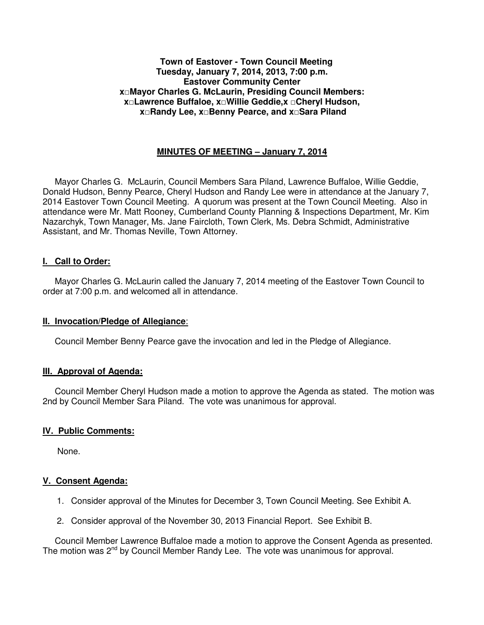#### **Town of Eastover - Town Council Meeting Tuesday, January 7, 2014, 2013, 7:00 p.m. Eastover Community Center x□Mayor Charles G. McLaurin, Presiding Council Members: x□Lawrence Buffaloe, x□Willie Geddie,x □Cheryl Hudson, x□Randy Lee, x□Benny Pearce, and x□Sara Piland**

## **MINUTES OF MEETING – January 7, 2014**

 Mayor Charles G. McLaurin, Council Members Sara Piland, Lawrence Buffaloe, Willie Geddie, Donald Hudson, Benny Pearce, Cheryl Hudson and Randy Lee were in attendance at the January 7, 2014 Eastover Town Council Meeting. A quorum was present at the Town Council Meeting. Also in attendance were Mr. Matt Rooney, Cumberland County Planning & Inspections Department, Mr. Kim Nazarchyk, Town Manager, Ms. Jane Faircloth, Town Clerk, Ms. Debra Schmidt, Administrative Assistant, and Mr. Thomas Neville, Town Attorney.

#### **I. Call to Order:**

 Mayor Charles G. McLaurin called the January 7, 2014 meeting of the Eastover Town Council to order at 7:00 p.m. and welcomed all in attendance.

## **II. Invocation/Pledge of Allegiance**:

Council Member Benny Pearce gave the invocation and led in the Pledge of Allegiance.

## **III. Approval of Agenda:**

 Council Member Cheryl Hudson made a motion to approve the Agenda as stated. The motion was 2nd by Council Member Sara Piland. The vote was unanimous for approval.

## **IV. Public Comments:**

None.

## **V. Consent Agenda:**

- 1. Consider approval of the Minutes for December 3, Town Council Meeting. See Exhibit A.
- 2. Consider approval of the November 30, 2013 Financial Report. See Exhibit B.

 Council Member Lawrence Buffaloe made a motion to approve the Consent Agenda as presented. The motion was 2<sup>nd</sup> by Council Member Randy Lee. The vote was unanimous for approval.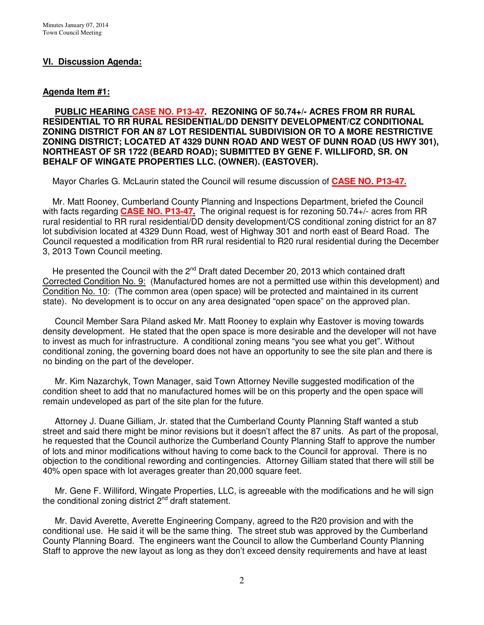#### **VI. Discussion Agenda:**

#### **Agenda Item #1:**

 **PUBLIC HEARING CASE NO. P13-47. REZONING OF 50.74+/- ACRES FROM RR RURAL RESIDENTIAL TO RR RURAL RESIDENTIAL/DD DENSITY DEVELOPMENT/CZ CONDITIONAL ZONING DISTRICT FOR AN 87 LOT RESIDENTIAL SUBDIVISION OR TO A MORE RESTRICTIVE ZONING DISTRICT; LOCATED AT 4329 DUNN ROAD AND WEST OF DUNN ROAD (US HWY 301), NORTHEAST OF SR 1722 (BEARD ROAD); SUBMITTED BY GENE F. WILLIFORD, SR. ON BEHALF OF WINGATE PROPERTIES LLC. (OWNER). (EASTOVER).** 

Mayor Charles G. McLaurin stated the Council will resume discussion of **CASE NO. P13-47.**

 Mr. Matt Rooney, Cumberland County Planning and Inspections Department, briefed the Council with facts regarding **CASE NO. P13-47.** The original request is for rezoning 50.74+/- acres from RR rural residential to RR rural residential/DD density development/CS conditional zoning district for an 87 lot subdivision located at 4329 Dunn Road, west of Highway 301 and north east of Beard Road. The Council requested a modification from RR rural residential to R20 rural residential during the December 3, 2013 Town Council meeting.

He presented the Council with the  $2^{nd}$  Draft dated December 20, 2013 which contained draft Corrected Condition No. 9: (Manufactured homes are not a permitted use within this development) and Condition No. 10: (The common area (open space) will be protected and maintained in its current state). No development is to occur on any area designated "open space" on the approved plan.

 Council Member Sara Piland asked Mr. Matt Rooney to explain why Eastover is moving towards density development. He stated that the open space is more desirable and the developer will not have to invest as much for infrastructure. A conditional zoning means "you see what you get". Without conditional zoning, the governing board does not have an opportunity to see the site plan and there is no binding on the part of the developer.

 Mr. Kim Nazarchyk, Town Manager, said Town Attorney Neville suggested modification of the condition sheet to add that no manufactured homes will be on this property and the open space will remain undeveloped as part of the site plan for the future.

 Attorney J. Duane Gilliam, Jr. stated that the Cumberland County Planning Staff wanted a stub street and said there might be minor revisions but it doesn't affect the 87 units. As part of the proposal, he requested that the Council authorize the Cumberland County Planning Staff to approve the number of lots and minor modifications without having to come back to the Council for approval. There is no objection to the conditional rewording and contingencies. Attorney Gilliam stated that there will still be 40% open space with lot averages greater than 20,000 square feet.

 Mr. Gene F. Williford, Wingate Properties, LLC, is agreeable with the modifications and he will sign the conditional zoning district  $2^{nd}$  draft statement.

 Mr. David Averette, Averette Engineering Company, agreed to the R20 provision and with the conditional use. He said it will be the same thing. The street stub was approved by the Cumberland County Planning Board. The engineers want the Council to allow the Cumberland County Planning Staff to approve the new layout as long as they don't exceed density requirements and have at least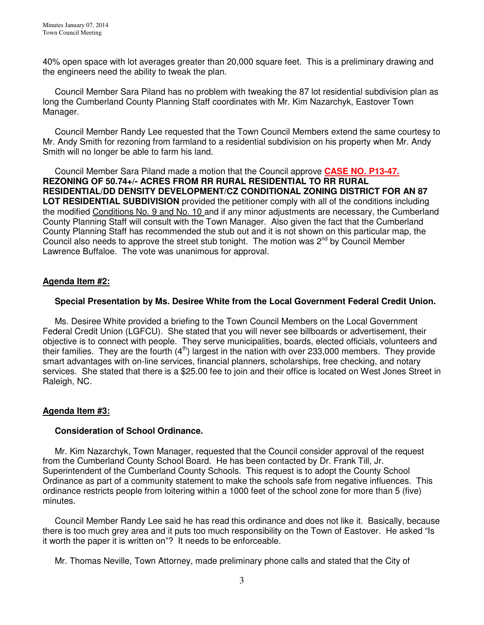40% open space with lot averages greater than 20,000 square feet. This is a preliminary drawing and the engineers need the ability to tweak the plan.

 Council Member Sara Piland has no problem with tweaking the 87 lot residential subdivision plan as long the Cumberland County Planning Staff coordinates with Mr. Kim Nazarchyk, Eastover Town Manager.

 Council Member Randy Lee requested that the Town Council Members extend the same courtesy to Mr. Andy Smith for rezoning from farmland to a residential subdivision on his property when Mr. Andy Smith will no longer be able to farm his land.

 Council Member Sara Piland made a motion that the Council approve **CASE NO. P13-47. REZONING OF 50.74+/- ACRES FROM RR RURAL RESIDENTIAL TO RR RURAL RESIDENTIAL/DD DENSITY DEVELOPMENT/CZ CONDITIONAL ZONING DISTRICT FOR AN 87 LOT RESIDENTIAL SUBDIVISION** provided the petitioner comply with all of the conditions including the modified Conditions No. 9 and No. 10 and if any minor adjustments are necessary, the Cumberland County Planning Staff will consult with the Town Manager. Also given the fact that the Cumberland County Planning Staff has recommended the stub out and it is not shown on this particular map, the Council also needs to approve the street stub tonight. The motion was 2nd by Council Member Lawrence Buffaloe. The vote was unanimous for approval.

## **Agenda Item #2:**

## **Special Presentation by Ms. Desiree White from the Local Government Federal Credit Union.**

 Ms. Desiree White provided a briefing to the Town Council Members on the Local Government Federal Credit Union (LGFCU). She stated that you will never see billboards or advertisement, their objective is to connect with people. They serve municipalities, boards, elected officials, volunteers and their families. They are the fourth  $(4<sup>th</sup>)$  largest in the nation with over 233,000 members. They provide smart advantages with on-line services, financial planners, scholarships, free checking, and notary services. She stated that there is a \$25.00 fee to join and their office is located on West Jones Street in Raleigh, NC.

## **Agenda Item #3:**

#### **Consideration of School Ordinance.**

 Mr. Kim Nazarchyk, Town Manager, requested that the Council consider approval of the request from the Cumberland County School Board. He has been contacted by Dr. Frank Till, Jr. Superintendent of the Cumberland County Schools. This request is to adopt the County School Ordinance as part of a community statement to make the schools safe from negative influences. This ordinance restricts people from loitering within a 1000 feet of the school zone for more than 5 (five) minutes.

 Council Member Randy Lee said he has read this ordinance and does not like it. Basically, because there is too much grey area and it puts too much responsibility on the Town of Eastover. He asked "Is it worth the paper it is written on"? It needs to be enforceable.

Mr. Thomas Neville, Town Attorney, made preliminary phone calls and stated that the City of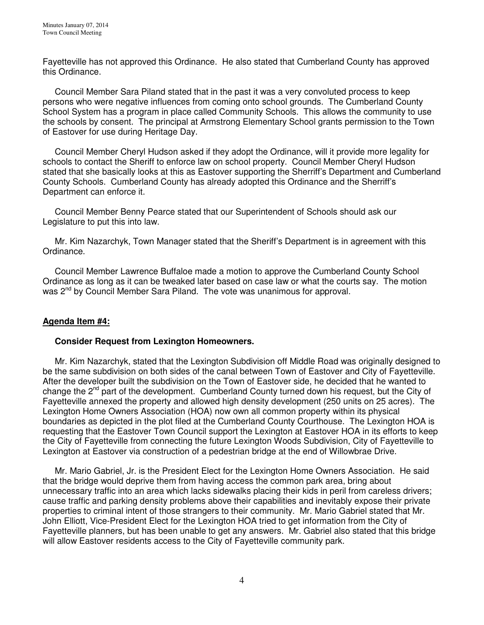Fayetteville has not approved this Ordinance. He also stated that Cumberland County has approved this Ordinance.

 Council Member Sara Piland stated that in the past it was a very convoluted process to keep persons who were negative influences from coming onto school grounds. The Cumberland County School System has a program in place called Community Schools. This allows the community to use the schools by consent. The principal at Armstrong Elementary School grants permission to the Town of Eastover for use during Heritage Day.

 Council Member Cheryl Hudson asked if they adopt the Ordinance, will it provide more legality for schools to contact the Sheriff to enforce law on school property. Council Member Cheryl Hudson stated that she basically looks at this as Eastover supporting the Sherriff's Department and Cumberland County Schools. Cumberland County has already adopted this Ordinance and the Sherriff's Department can enforce it.

 Council Member Benny Pearce stated that our Superintendent of Schools should ask our Legislature to put this into law.

 Mr. Kim Nazarchyk, Town Manager stated that the Sheriff's Department is in agreement with this Ordinance.

 Council Member Lawrence Buffaloe made a motion to approve the Cumberland County School Ordinance as long as it can be tweaked later based on case law or what the courts say. The motion was 2<sup>nd</sup> by Council Member Sara Piland. The vote was unanimous for approval.

# **Agenda Item #4:**

## **Consider Request from Lexington Homeowners.**

Mr. Kim Nazarchyk, stated that the Lexington Subdivision off Middle Road was originally designed to be the same subdivision on both sides of the canal between Town of Eastover and City of Fayetteville. After the developer built the subdivision on the Town of Eastover side, he decided that he wanted to change the  $2^{nd}$  part of the development. Cumberland County turned down his request, but the City of Fayetteville annexed the property and allowed high density development (250 units on 25 acres). The Lexington Home Owners Association (HOA) now own all common property within its physical boundaries as depicted in the plot filed at the Cumberland County Courthouse. The Lexington HOA is requesting that the Eastover Town Council support the Lexington at Eastover HOA in its efforts to keep the City of Fayetteville from connecting the future Lexington Woods Subdivision, City of Fayetteville to Lexington at Eastover via construction of a pedestrian bridge at the end of Willowbrae Drive.

 Mr. Mario Gabriel, Jr. is the President Elect for the Lexington Home Owners Association. He said that the bridge would deprive them from having access the common park area, bring about unnecessary traffic into an area which lacks sidewalks placing their kids in peril from careless drivers; cause traffic and parking density problems above their capabilities and inevitably expose their private properties to criminal intent of those strangers to their community. Mr. Mario Gabriel stated that Mr. John Elliott, Vice-President Elect for the Lexington HOA tried to get information from the City of Fayetteville planners, but has been unable to get any answers. Mr. Gabriel also stated that this bridge will allow Eastover residents access to the City of Fayetteville community park.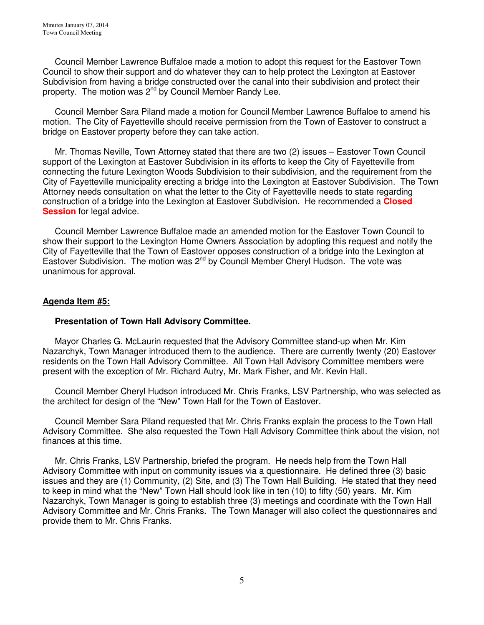Council Member Lawrence Buffaloe made a motion to adopt this request for the Eastover Town Council to show their support and do whatever they can to help protect the Lexington at Eastover Subdivision from having a bridge constructed over the canal into their subdivision and protect their property. The motion was 2<sup>nd</sup> by Council Member Randy Lee.

 Council Member Sara Piland made a motion for Council Member Lawrence Buffaloe to amend his motion. The City of Fayetteville should receive permission from the Town of Eastover to construct a bridge on Eastover property before they can take action.

 Mr. Thomas Neville, Town Attorney stated that there are two (2) issues – Eastover Town Council support of the Lexington at Eastover Subdivision in its efforts to keep the City of Fayetteville from connecting the future Lexington Woods Subdivision to their subdivision, and the requirement from the City of Fayetteville municipality erecting a bridge into the Lexington at Eastover Subdivision. The Town Attorney needs consultation on what the letter to the City of Fayetteville needs to state regarding construction of a bridge into the Lexington at Eastover Subdivision. He recommended a **Closed Session** for legal advice.

 Council Member Lawrence Buffaloe made an amended motion for the Eastover Town Council to show their support to the Lexington Home Owners Association by adopting this request and notify the City of Fayetteville that the Town of Eastover opposes construction of a bridge into the Lexington at Eastover Subdivision. The motion was 2<sup>nd</sup> by Council Member Cheryl Hudson. The vote was unanimous for approval.

## **Agenda Item #5:**

## **Presentation of Town Hall Advisory Committee.**

 Mayor Charles G. McLaurin requested that the Advisory Committee stand-up when Mr. Kim Nazarchyk, Town Manager introduced them to the audience. There are currently twenty (20) Eastover residents on the Town Hall Advisory Committee. All Town Hall Advisory Committee members were present with the exception of Mr. Richard Autry, Mr. Mark Fisher, and Mr. Kevin Hall.

 Council Member Cheryl Hudson introduced Mr. Chris Franks, LSV Partnership, who was selected as the architect for design of the "New" Town Hall for the Town of Eastover.

 Council Member Sara Piland requested that Mr. Chris Franks explain the process to the Town Hall Advisory Committee. She also requested the Town Hall Advisory Committee think about the vision, not finances at this time.

 Mr. Chris Franks, LSV Partnership, briefed the program. He needs help from the Town Hall Advisory Committee with input on community issues via a questionnaire. He defined three (3) basic issues and they are (1) Community, (2) Site, and (3) The Town Hall Building. He stated that they need to keep in mind what the "New" Town Hall should look like in ten (10) to fifty (50) years. Mr. Kim Nazarchyk, Town Manager is going to establish three (3) meetings and coordinate with the Town Hall Advisory Committee and Mr. Chris Franks. The Town Manager will also collect the questionnaires and provide them to Mr. Chris Franks.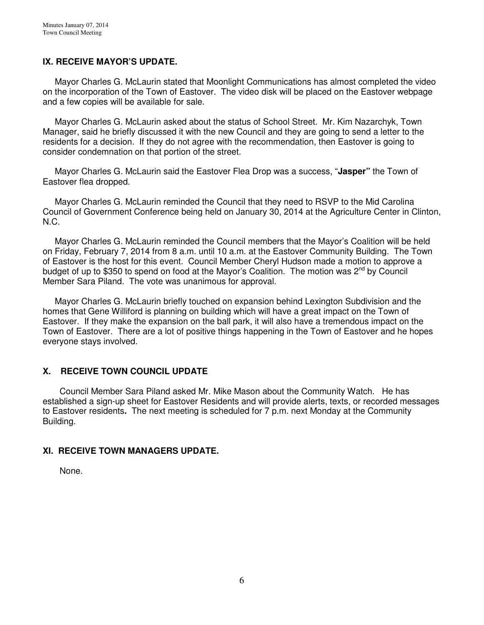## **IX. RECEIVE MAYOR'S UPDATE.**

 Mayor Charles G. McLaurin stated that Moonlight Communications has almost completed the video on the incorporation of the Town of Eastover. The video disk will be placed on the Eastover webpage and a few copies will be available for sale.

 Mayor Charles G. McLaurin asked about the status of School Street. Mr. Kim Nazarchyk, Town Manager, said he briefly discussed it with the new Council and they are going to send a letter to the residents for a decision. If they do not agree with the recommendation, then Eastover is going to consider condemnation on that portion of the street.

 Mayor Charles G. McLaurin said the Eastover Flea Drop was a success, "**Jasper"** the Town of Eastover flea dropped.

 Mayor Charles G. McLaurin reminded the Council that they need to RSVP to the Mid Carolina Council of Government Conference being held on January 30, 2014 at the Agriculture Center in Clinton, N.C.

 Mayor Charles G. McLaurin reminded the Council members that the Mayor's Coalition will be held on Friday, February 7, 2014 from 8 a.m. until 10 a.m. at the Eastover Community Building. The Town of Eastover is the host for this event. Council Member Cheryl Hudson made a motion to approve a budget of up to \$350 to spend on food at the Mayor's Coalition. The motion was  $2^{nd}$  by Council Member Sara Piland. The vote was unanimous for approval.

 Mayor Charles G. McLaurin briefly touched on expansion behind Lexington Subdivision and the homes that Gene Williford is planning on building which will have a great impact on the Town of Eastover. If they make the expansion on the ball park, it will also have a tremendous impact on the Town of Eastover. There are a lot of positive things happening in the Town of Eastover and he hopes everyone stays involved.

# **X. RECEIVE TOWN COUNCIL UPDATE**

 Council Member Sara Piland asked Mr. Mike Mason about the Community Watch. He has established a sign-up sheet for Eastover Residents and will provide alerts, texts, or recorded messages to Eastover residents**.** The next meeting is scheduled for 7 p.m. next Monday at the Community Building.

## **XI. RECEIVE TOWN MANAGERS UPDATE.**

None.